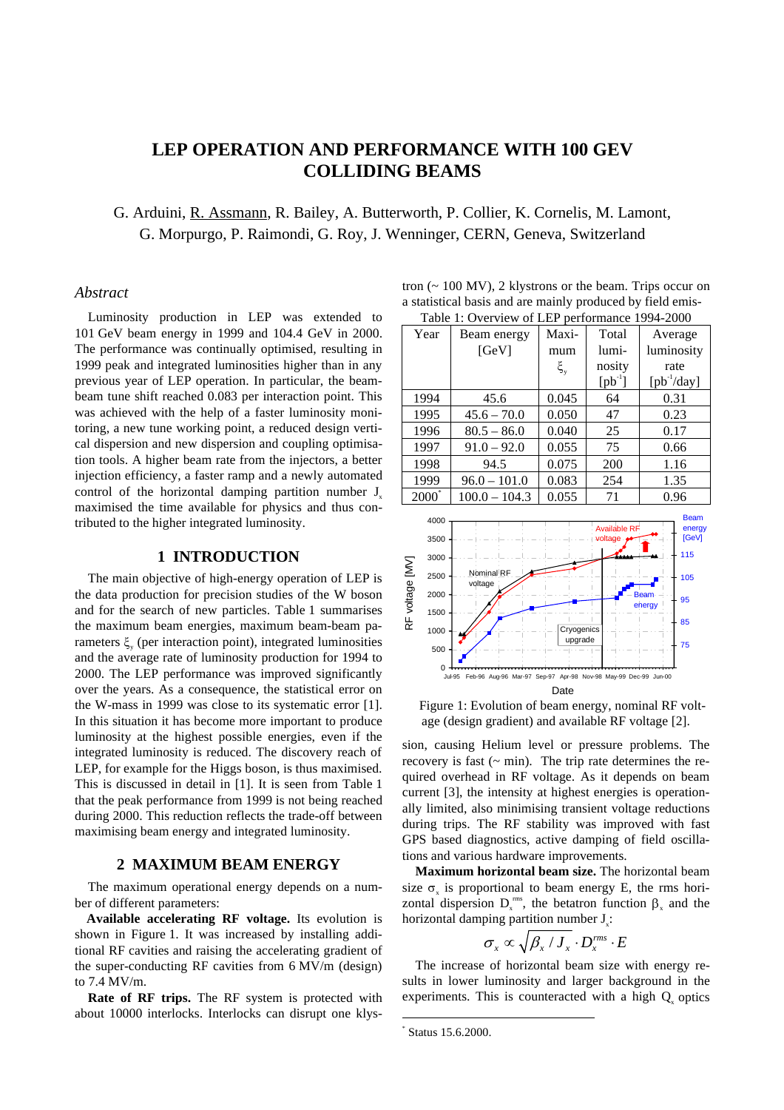# **LEP OPERATION AND PERFORMANCE WITH 100 GEV COLLIDING BEAMS**

G. Arduini, R. Assmann, R. Bailey, A. Butterworth, P. Collier, K. Cornelis, M. Lamont, G. Morpurgo, P. Raimondi, G. Roy, J. Wenninger, CERN, Geneva, Switzerland

#### *Abstract*

Luminosity production in LEP was extended to 101 GeV beam energy in 1999 and 104.4 GeV in 2000. The performance was continually optimised, resulting in 1999 peak and integrated luminosities higher than in any previous year of LEP operation. In particular, the beambeam tune shift reached 0.083 per interaction point. This was achieved with the help of a faster luminosity monitoring, a new tune working point, a reduced design vertical dispersion and new dispersion and coupling optimisation tools. A higher beam rate from the injectors, a better injection efficiency, a faster ramp and a newly automated control of the horizontal damping partition number  $J<sub>x</sub>$ maximised the time available for physics and thus contributed to the higher integrated luminosity.

# **1 INTRODUCTION**

The main objective of high-energy operation of LEP is the data production for precision studies of the W boson and for the search of new particles. Table 1 summarises the maximum beam energies, maximum beam-beam parameters  $\xi$  (per interaction point), integrated luminosities and the average rate of luminosity production for 1994 to 2000. The LEP performance was improved significantly over the years. As a consequence, the statistical error on the W-mass in 1999 was close to its systematic error [1]. In this situation it has become more important to produce luminosity at the highest possible energies, even if the integrated luminosity is reduced. The discovery reach of LEP, for example for the Higgs boson, is thus maximised. This is discussed in detail in [1]. It is seen from Table 1 that the peak performance from 1999 is not being reached during 2000. This reduction reflects the trade-off between maximising beam energy and integrated luminosity.

#### **2 MAXIMUM BEAM ENERGY**

The maximum operational energy depends on a number of different parameters:

**Available accelerating RF voltage.** Its evolution is shown in Figure 1. It was increased by installing additional RF cavities and raising the accelerating gradient of the super-conducting RF cavities from 6 MV/m (design) to 7.4 MV/m.

**Rate of RF trips.** The RF system is protected with about 10000 interlocks. Interlocks can disrupt one klys-

tron  $($   $\sim$  100 MV $)$ , 2 klystrons or the beam. Trips occur on a statistical basis and are mainly produced by field emis-<br>Table 1. Overwise of J ED as formation 1004, 2000.  $T_{\text{sub}}$  1:  $\Omega_{\text{sub}}$   $\Omega$  EP performance 1994-2000

| Table 1. Overview of LEP performance 1994-2000 |                 |               |                                        |                                       |  |  |
|------------------------------------------------|-----------------|---------------|----------------------------------------|---------------------------------------|--|--|
| Year                                           | Beam energy     | Maxi-         | Total                                  | Average                               |  |  |
|                                                | [GeV]           | mum           | lumi-                                  | luminosity                            |  |  |
|                                                |                 | $\xi_{\rm y}$ | nosity                                 | rate                                  |  |  |
|                                                |                 |               | $[{\rm pb}^{-1}]$                      | $[{\rm pb}^{\text{-1}}/{\rm day}]$    |  |  |
| 1994                                           | 45.6            | 0.045         | 64                                     | 0.31                                  |  |  |
| 1995                                           | $45.6 - 70.0$   | 0.050         | 47                                     | 0.23                                  |  |  |
| 1996                                           | $80.5 - 86.0$   | 0.040         | 25                                     | 0.17                                  |  |  |
| 1997                                           | $91.0 - 92.0$   | 0.055         | 75                                     | 0.66                                  |  |  |
| 1998                                           | 94.5            | 0.075         | 200                                    | 1.16                                  |  |  |
| 1999                                           | $96.0 - 101.0$  | 0.083         | 254                                    | 1.35                                  |  |  |
| $2000^*$                                       | $100.0 - 104.3$ | 0.055         | 71                                     | 0.96                                  |  |  |
| 4000<br>$3500 -$                               |                 |               | <b>Available RF</b><br>- voltage • • • | <b>Beam</b><br>energy<br><b>IGeVI</b> |  |  |



Figure 1: Evolution of beam energy, nominal RF voltage (design gradient) and available RF voltage [2].

sion, causing Helium level or pressure problems. The recovery is fast  $({\sim \min})$ . The trip rate determines the required overhead in RF voltage. As it depends on beam current [3], the intensity at highest energies is operationally limited, also minimising transient voltage reductions during trips. The RF stability was improved with fast GPS based diagnostics, active damping of field oscillations and various hardware improvements.

**Maximum horizontal beam size.** The horizontal beam size  $\sigma$  is proportional to beam energy E, the rms horizontal dispersion  $D_x^{rms}$ , the betatron function  $\beta_x$  and the horizontal damping partition number  $J$ .:

$$
\sigma_x \propto \sqrt{\beta_x / J_x} \cdot D_x^{rms} \cdot E
$$

The increase of horizontal beam size with energy results in lower luminosity and larger background in the experiments. This is counteracted with a high  $Q$  optics

 <sup>\*</sup> Status 15.6.2000.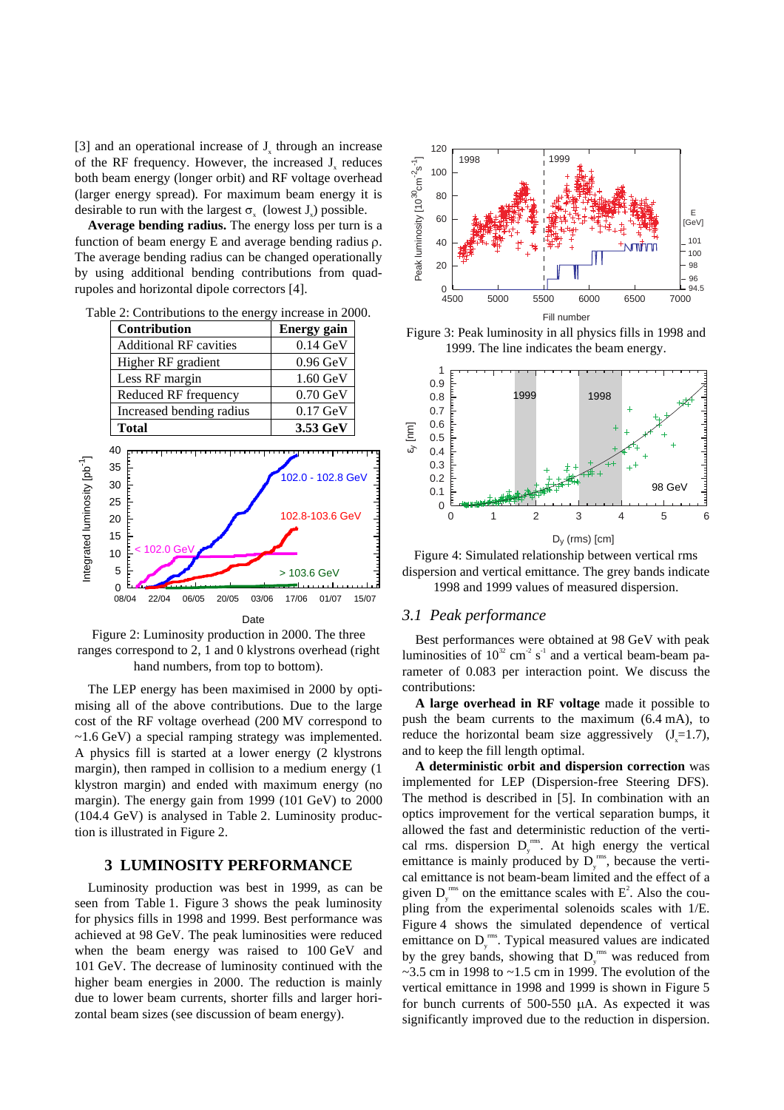[3] and an operational increase of  $J<sub>x</sub>$  through an increase of the RF frequency. However, the increased  $J<sub>x</sub>$  reduces both beam energy (longer orbit) and RF voltage overhead (larger energy spread). For maximum beam energy it is desirable to run with the largest  $\sigma_{\nu}$  (lowest J<sub>v</sub>) possible.

**Average bending radius.** The energy loss per turn is a function of beam energy  $E$  and average bending radius  $\rho$ . The average bending radius can be changed operationally by using additional bending contributions from quadrupoles and horizontal dipole correctors [4].

|                                           |                                                                  | <b>Contribution</b>  |       |       |               |                      | <b>Energy gain</b>                            |       |
|-------------------------------------------|------------------------------------------------------------------|----------------------|-------|-------|---------------|----------------------|-----------------------------------------------|-------|
|                                           | <b>Additional RF cavities</b>                                    |                      |       |       |               |                      | $0.14 \text{ GeV}$                            |       |
|                                           |                                                                  | Higher RF gradient   |       |       |               |                      | $0.96$ GeV                                    |       |
|                                           |                                                                  | Less RF margin       |       |       |               |                      | $1.60 \text{ GeV}$                            |       |
|                                           |                                                                  | Reduced RF frequency |       |       |               |                      | $0.70$ GeV                                    |       |
|                                           | Increased bending radius                                         |                      |       |       |               |                      | $0.17$ GeV                                    |       |
|                                           | <b>Total</b>                                                     |                      |       |       |               |                      | 3.53 GeV                                      |       |
| Integrated luminosity [pb <sup>-1</sup> ] | 40<br>35<br>30<br>25<br>20<br>15<br>10<br>5<br>$\Omega$<br>08/04 | 102.0 GeV<br>22/04   | 06/05 | 20/05 | 03/06<br>Date | > 103.6 GeV<br>17/06 | 102.0 - 102.8 GeV<br>102.8-103.6 GeV<br>01/07 | 15/07 |
|                                           |                                                                  |                      |       |       |               |                      |                                               |       |

Table 2: Contributions to the energy increase in 2000.

Figure 2: Luminosity production in 2000. The three ranges correspond to 2, 1 and 0 klystrons overhead (right hand numbers, from top to bottom).

The LEP energy has been maximised in 2000 by optimising all of the above contributions. Due to the large cost of the RF voltage overhead (200 MV correspond to ~1.6 GeV) a special ramping strategy was implemented. A physics fill is started at a lower energy (2 klystrons margin), then ramped in collision to a medium energy (1 klystron margin) and ended with maximum energy (no margin). The energy gain from 1999 (101 GeV) to 2000 (104.4 GeV) is analysed in Table 2. Luminosity production is illustrated in Figure 2.

### **3 LUMINOSITY PERFORMANCE**

Luminosity production was best in 1999, as can be seen from Table 1. Figure 3 shows the peak luminosity for physics fills in 1998 and 1999. Best performance was achieved at 98 GeV. The peak luminosities were reduced when the beam energy was raised to 100 GeV and 101 GeV. The decrease of luminosity continued with the higher beam energies in 2000. The reduction is mainly due to lower beam currents, shorter fills and larger horizontal beam sizes (see discussion of beam energy).



Figure 3: Peak luminosity in all physics fills in 1998 and 1999. The line indicates the beam energy.



Figure 4: Simulated relationship between vertical rms dispersion and vertical emittance. The grey bands indicate 1998 and 1999 values of measured dispersion.

#### *3.1 Peak performance*

Best performances were obtained at 98 GeV with peak luminosities of  $10^{32}$  cm<sup>-2</sup> s<sup>-1</sup> and a vertical beam-beam parameter of 0.083 per interaction point. We discuss the contributions:

**A large overhead in RF voltage** made it possible to push the beam currents to the maximum (6.4 mA), to reduce the horizontal beam size aggressively  $(J=1.7)$ , and to keep the fill length optimal.

**A deterministic orbit and dispersion correction** was implemented for LEP (Dispersion-free Steering DFS). The method is described in [5]. In combination with an optics improvement for the vertical separation bumps, it allowed the fast and deterministic reduction of the vertical rms. dispersion  $D_y^{\text{rms}}$ . At high energy the vertical emittance is mainly produced by  $D_y^{ms}$ , because the vertical emittance is not beam-beam limited and the effect of a given  $D_y^{\text{rms}}$  on the emittance scales with  $E^2$ . Also the coupling from the experimental solenoids scales with 1/E. Figure 4 shows the simulated dependence of vertical emittance on  $D_y^{\text{rms}}$ . Typical measured values are indicated by the grey bands, showing that  $D_y^{rms}$  was reduced from  $\sim$ 3.5 cm in 1998 to  $\sim$ 1.5 cm in 1999. The evolution of the vertical emittance in 1998 and 1999 is shown in Figure 5 for bunch currents of 500-550  $\mu$ A. As expected it was significantly improved due to the reduction in dispersion.